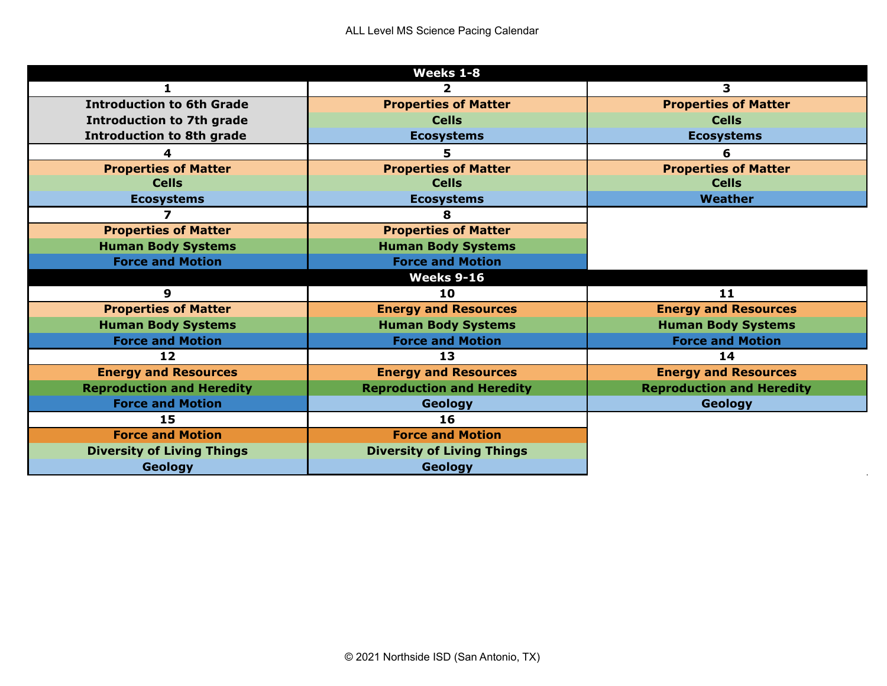| Weeks 1-8                         |                                   |                                  |  |
|-----------------------------------|-----------------------------------|----------------------------------|--|
|                                   | 2                                 | 3                                |  |
| <b>Introduction to 6th Grade</b>  | <b>Properties of Matter</b>       | <b>Properties of Matter</b>      |  |
| <b>Introduction to 7th grade</b>  | <b>Cells</b>                      | <b>Cells</b>                     |  |
| <b>Introduction to 8th grade</b>  | <b>Ecosystems</b>                 | <b>Ecosystems</b>                |  |
| 4                                 | 5.                                | 6                                |  |
| <b>Properties of Matter</b>       | <b>Properties of Matter</b>       | <b>Properties of Matter</b>      |  |
| <b>Cells</b>                      | <b>Cells</b>                      | <b>Cells</b>                     |  |
| <b>Ecosystems</b>                 | <b>Ecosystems</b>                 | Weather                          |  |
|                                   |                                   |                                  |  |
| <b>Properties of Matter</b>       | <b>Properties of Matter</b>       |                                  |  |
| <b>Human Body Systems</b>         | <b>Human Body Systems</b>         |                                  |  |
| <b>Force and Motion</b>           | <b>Force and Motion</b>           |                                  |  |
|                                   | <b>Weeks 9-16</b>                 |                                  |  |
| 9                                 | 10                                | 11                               |  |
| <b>Properties of Matter</b>       | <b>Energy and Resources</b>       | <b>Energy and Resources</b>      |  |
| <b>Human Body Systems</b>         | <b>Human Body Systems</b>         | <b>Human Body Systems</b>        |  |
| <b>Force and Motion</b>           | <b>Force and Motion</b>           | <b>Force and Motion</b>          |  |
| $12 \overline{ }$                 | 13                                | 14                               |  |
| <b>Energy and Resources</b>       | <b>Energy and Resources</b>       | <b>Energy and Resources</b>      |  |
| <b>Reproduction and Heredity</b>  | <b>Reproduction and Heredity</b>  | <b>Reproduction and Heredity</b> |  |
| <b>Force and Motion</b>           | <b>Geology</b>                    | Geology                          |  |
| 15                                | 16                                |                                  |  |
| <b>Force and Motion</b>           | <b>Force and Motion</b>           |                                  |  |
| <b>Diversity of Living Things</b> | <b>Diversity of Living Things</b> |                                  |  |
| <b>Geology</b>                    | <b>Geology</b>                    |                                  |  |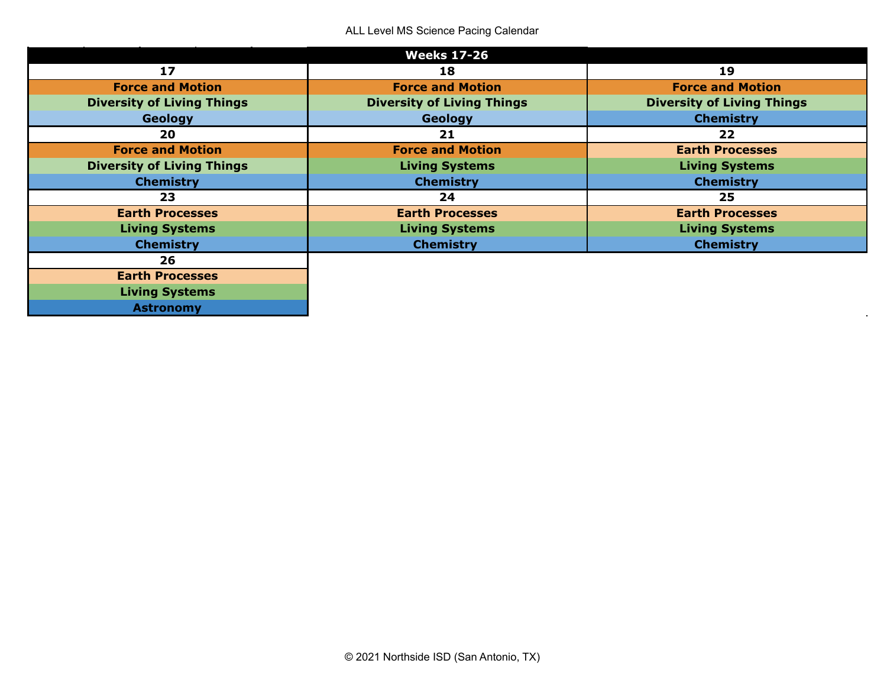|                                   | <b>Weeks 17-26</b>                |                                   |
|-----------------------------------|-----------------------------------|-----------------------------------|
| 17                                | 18                                | 19                                |
| <b>Force and Motion</b>           | <b>Force and Motion</b>           | <b>Force and Motion</b>           |
| <b>Diversity of Living Things</b> | <b>Diversity of Living Things</b> | <b>Diversity of Living Things</b> |
| Geology                           | Geology                           | <b>Chemistry</b>                  |
| 20                                | 21                                | 22                                |
| <b>Force and Motion</b>           | <b>Force and Motion</b>           | <b>Earth Processes</b>            |
| <b>Diversity of Living Things</b> | <b>Living Systems</b>             | <b>Living Systems</b>             |
| <b>Chemistry</b>                  | <b>Chemistry</b>                  | <b>Chemistry</b>                  |
| 23                                | 24                                | 25                                |
| <b>Earth Processes</b>            | <b>Earth Processes</b>            | <b>Earth Processes</b>            |
| <b>Living Systems</b>             | <b>Living Systems</b>             | <b>Living Systems</b>             |
| <b>Chemistry</b>                  | <b>Chemistry</b>                  | <b>Chemistry</b>                  |
| 26                                |                                   |                                   |
| <b>Earth Processes</b>            |                                   |                                   |
| <b>Living Systems</b>             |                                   |                                   |
| <b>Astronomy</b>                  |                                   |                                   |